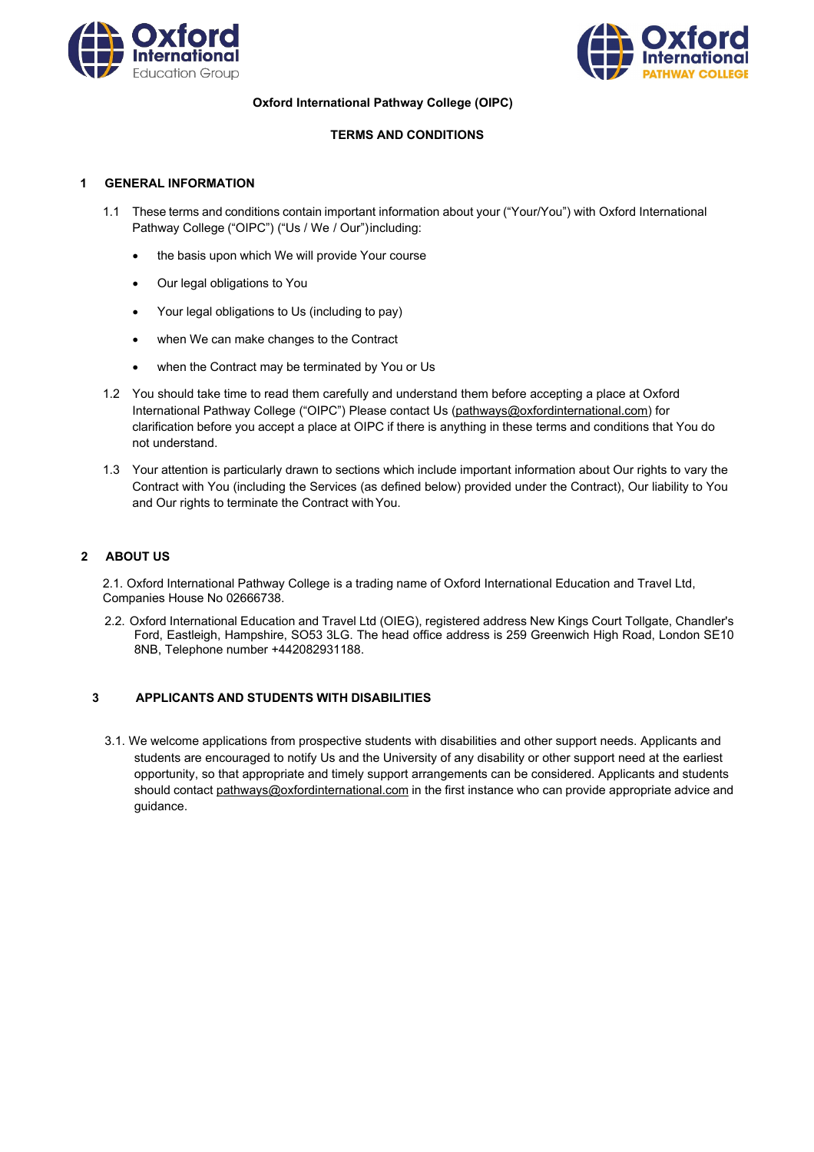



**Oxford International Pathway College (OIPC)**

## **TERMS AND CONDITIONS**

### **1 GENERAL INFORMATION**

- 1.1 These terms and conditions contain important information about your ("Your/You") with Oxford International Pathway College ("OIPC") ("Us / We / Our") including:
	- the basis upon which We will provide Your course
	- Our legal obligations to You
	- Your legal obligations to Us (including to pay)
	- when We can make changes to the Contract
	- when the Contract may be terminated by You or Us
- 1.2 You should take time to read them carefully and understand them before accepting a place at Oxford International Pathway College ("OIPC") Please contact Us [\(pathways@oxfordinternational.com\) f](mailto:pathways@oxfordinternational.com)or clarification before you accept a place at OIPC if there is anything in these terms and conditions that You do not understand.
- 1.3 Your attention is particularly drawn to sections which include important information about Our rights to vary the Contract with You (including the Services (as defined below) provided under the Contract), Our liability to You and Our rights to terminate the Contract with You.

## **2 ABOUT US**

2.1. Oxford International Pathway College is a trading name of Oxford International Education and Travel Ltd, Companies House No 02666738.

2.2. Oxford International Education and Travel Ltd (OIEG), registered address New Kings Court Tollgate, Chandler's Ford, Eastleigh, Hampshire, SO53 3LG. The head office address is 259 Greenwich High Road, London SE10 8NB, Telephone number +442082931188.

## **3 APPLICANTS AND STUDENTS WITH DISABILITIES**

3.1. We welcome applications from prospective students with disabilities and other support needs. Applicants and students are encouraged to notify Us and the University of any disability or other support need at the earliest opportunity, so that appropriate and timely support arrangements can be considered. Applicants and students should contact [pathways@oxfordinternational.com in](mailto:pathways@oxfordinternational.com) the first instance who can provide appropriate advice and guidance.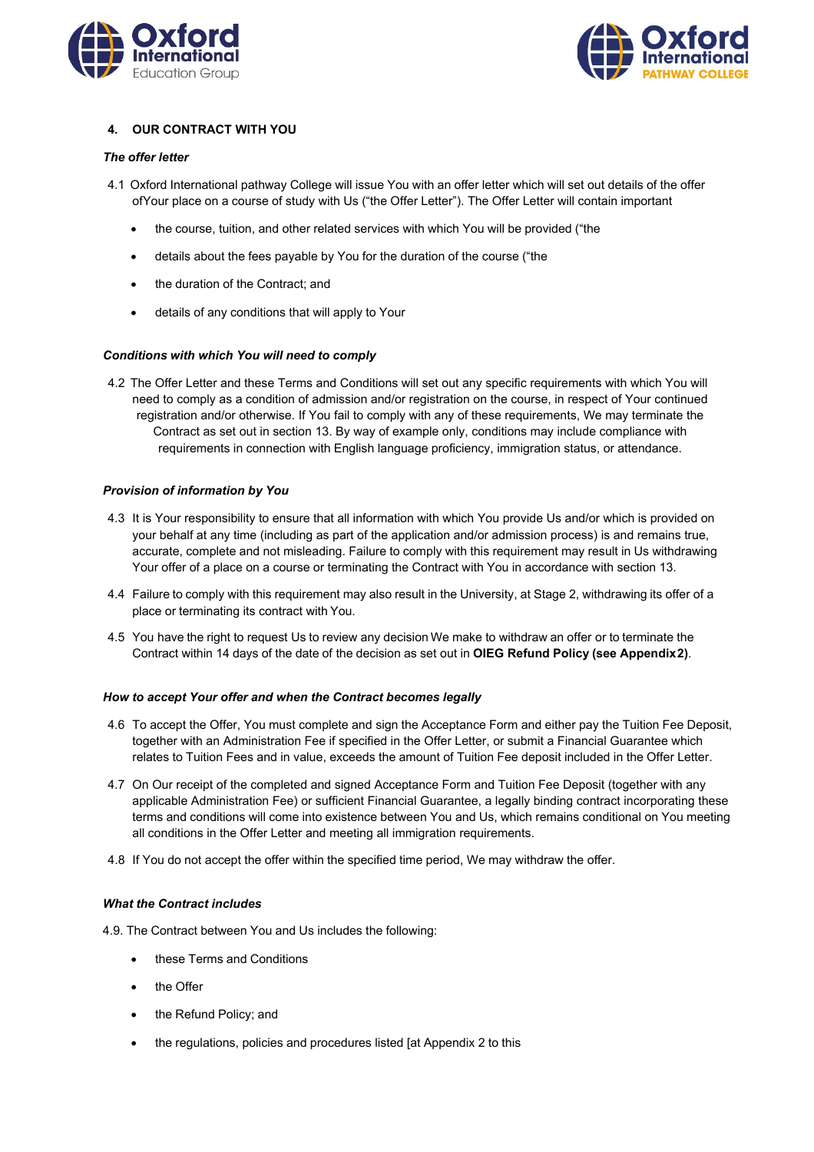



# **4. OUR CONTRACT WITH YOU**

### *The offer letter*

- 4.1 Oxford International pathway College will issue You with an offer letter which will set out details of the offer ofYour place on a course of study with Us ("the Offer Letter"). The Offer Letter will contain important
	- the course, tuition, and other related services with which You will be provided ("the
	- details about the fees payable by You for the duration of the course ("the
	- the duration of the Contract; and
	- details of any conditions that will apply to Your

### *Conditions with which You will need to comply*

4.2 The Offer Letter and these Terms and Conditions will set out any specific requirements with which You will need to comply as a condition of admission and/or registration on the course, in respect of Your continued registration and/or otherwise. If You fail to comply with any of these requirements, We may terminate the Contract as set out in section 13. By way of example only, conditions may include compliance with requirements in connection with English language proficiency, immigration status, or attendance.

### *Provision of information by You*

- 4.3 It is Your responsibility to ensure that all information with which You provide Us and/or which is provided on your behalf at any time (including as part of the application and/or admission process) is and remains true, accurate, complete and not misleading. Failure to comply with this requirement may result in Us withdrawing Your offer of a place on a course or terminating the Contract with You in accordance with section 13.
- 4.4 Failure to comply with this requirement may also result in the University, at Stage 2, withdrawing its offer of a place or terminating its contract with You.
- 4.5 You have the right to request Us to review any decision We make to withdraw an offer or to terminate the Contract within 14 days of the date of the decision as set out in **OIEG Refund Policy (see Appendix2)**.

#### *How to accept Your offer and when the Contract becomes legally*

- 4.6 To accept the Offer, You must complete and sign the Acceptance Form and either pay the Tuition Fee Deposit, together with an Administration Fee if specified in the Offer Letter, or submit a Financial Guarantee which relates to Tuition Fees and in value, exceeds the amount of Tuition Fee deposit included in the Offer Letter.
- 4.7 On Our receipt of the completed and signed Acceptance Form and Tuition Fee Deposit (together with any applicable Administration Fee) or sufficient Financial Guarantee, a legally binding contract incorporating these terms and conditions will come into existence between You and Us, which remains conditional on You meeting all conditions in the Offer Letter and meeting all immigration requirements.
- 4.8 If You do not accept the offer within the specified time period, We may withdraw the offer.

#### *What the Contract includes*

- 4.9. The Contract between You and Us includes the following:
	- these Terms and Conditions
	- the Offer
	- the Refund Policy; and
	- the regulations, policies and procedures listed [at Appendix 2 to this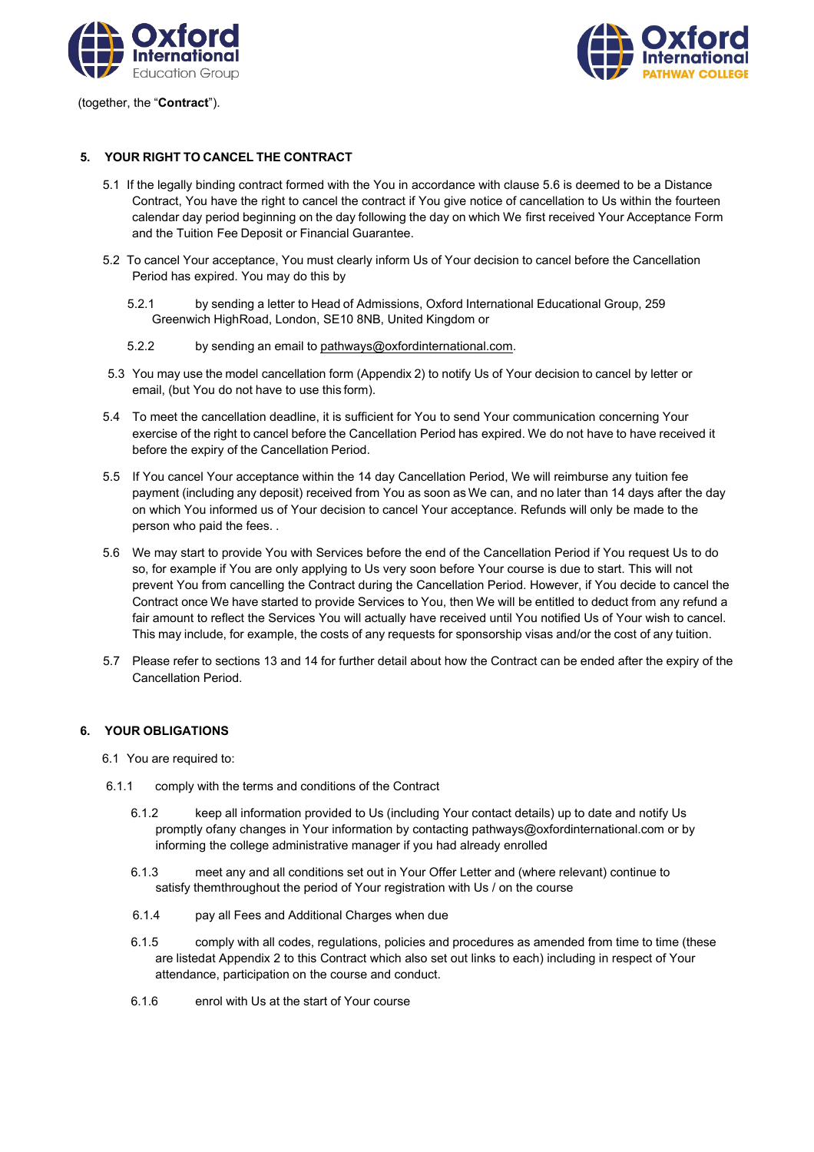

(together, the "**Contract**").



## **5. YOUR RIGHT TO CANCEL THE CONTRACT**

- 5.1 If the legally binding contract formed with the You in accordance with clause 5.6 is deemed to be a Distance Contract, You have the right to cancel the contract if You give notice of cancellation to Us within the fourteen calendar day period beginning on the day following the day on which We first received Your Acceptance Form and the Tuition Fee Deposit or Financial Guarantee.
- 5.2 To cancel Your acceptance, You must clearly inform Us of Your decision to cancel before the Cancellation Period has expired. You may do this by
	- 5.2.1 by sending a letter to Head of Admissions, Oxford International Educational Group, 259 Greenwich HighRoad, London, SE10 8NB, United Kingdom or
	- 5.2.2 by sending an email to [pathways@oxfordinternational.com.](mailto:pathways@oxfordinternational.com)
- 5.3 You may use the model cancellation form (Appendix 2) to notify Us of Your decision to cancel by letter or email, (but You do not have to use this form).
- 5.4 To meet the cancellation deadline, it is sufficient for You to send Your communication concerning Your exercise of the right to cancel before the Cancellation Period has expired. We do not have to have received it before the expiry of the Cancellation Period.
- 5.5 If You cancel Your acceptance within the 14 day Cancellation Period, We will reimburse any tuition fee payment (including any deposit) received from You as soon as We can, and no later than 14 days after the day on which You informed us of Your decision to cancel Your acceptance. Refunds will only be made to the person who paid the fees. .
- 5.6 We may start to provide You with Services before the end of the Cancellation Period if You request Us to do so, for example if You are only applying to Us very soon before Your course is due to start. This will not prevent You from cancelling the Contract during the Cancellation Period. However, if You decide to cancel the Contract once We have started to provide Services to You, then We will be entitled to deduct from any refund a fair amount to reflect the Services You will actually have received until You notified Us of Your wish to cancel. This may include, for example, the costs of any requests for sponsorship visas and/or the cost of any tuition.
- 5.7 Please refer to sections 13 and 14 for further detail about how the Contract can be ended after the expiry of the Cancellation Period.

## **6. YOUR OBLIGATIONS**

- 6.1 You are required to:
- 6.1.1 comply with the terms and conditions of the Contract
	- 6.1.2 keep all information provided to Us (including Your contact details) up to date and notify Us promptly ofany changes in Your information by contacting [pathways@oxfordinternational.com o](mailto:pathways@oxfordinternational.com)r by informing the college administrative manager if you had already enrolled
	- 6.1.3 meet any and all conditions set out in Your Offer Letter and (where relevant) continue to satisfy themthroughout the period of Your registration with Us / on the course
	- 6.1.4 pay all Fees and Additional Charges when due
	- 6.1.5 comply with all codes, regulations, policies and procedures as amended from time to time (these are listedat Appendix 2 to this Contract which also set out links to each) including in respect of Your attendance, participation on the course and conduct.
	- 6.1.6 enrol with Us at the start of Your course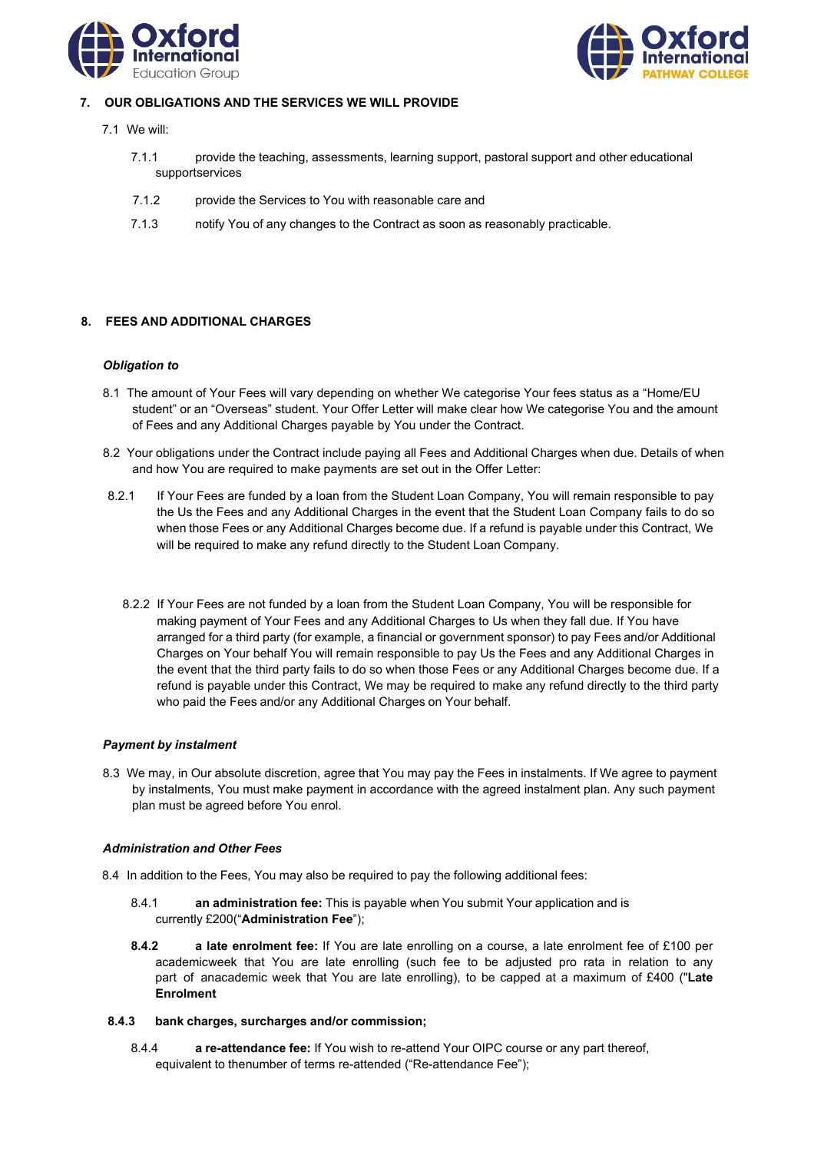



# **7. OUR OBLIGATIONS AND THE SERVICES WE WILL PROVIDE**

- 7.1 We will:
	- 7.1.1 provide the teaching, assessments, learning support, pastoral support and other educational supportservices
	- 7.1.2 provide the Services to You with reasonable care and
	- 7.1.3 notify You of any changes to the Contract as soon as reasonably practicable.

# **8. FEES AND ADDITIONAL CHARGES**

### *Obligation to*

- 8.1 The amount of Your Fees will vary depending on whether We categorise Your fees status as a "Home/EU student" or an "Overseas" student. Your Offer Letter will make clear how We categorise You and the amount of Fees and any Additional Charges payable by You under the Contract.
- 8.2 Your obligations under the Contract include paying all Fees and Additional Charges when due. Details of when and how You are required to make payments are set out in the Offer Letter:
- 8.2.1 If Your Fees are funded by a loan from the Student Loan Company, You will remain responsible to pay the Us the Fees and any Additional Charges in the event that the Student Loan Company fails to do so when those Fees or any Additional Charges become due. If a refund is payable under this Contract, We will be required to make any refund directly to the Student Loan Company.
	- 8.2.2 If Your Fees are not funded by a loan from the Student Loan Company, You will be responsible for making payment of Your Fees and any Additional Charges to Us when they fall due. If You have arranged for a third party (for example, a financial or government sponsor) to pay Fees and/or Additional Charges on Your behalf You will remain responsible to pay Us the Fees and any Additional Charges in the event that the third party fails to do so when those Fees or any Additional Charges become due. If a refund is payable under this Contract, We may be required to make any refund directly to the third party who paid the Fees and/or any Additional Charges on Your behalf.

## *Payment by instalment*

8.3 We may, in Our absolute discretion, agree that You may pay the Fees in instalments. If We agree to payment by instalments, You must make payment in accordance with the agreed instalment plan. Any such payment plan must be agreed before You enrol.

## *Administration and Other Fees*

- 8.4 In addition to the Fees, You may also be required to pay the following additional fees:
	- 8.4.1 **an administration fee:** This is payable when You submit Your application and is currently £200("**Administration Fee**");
	- **8.4.2 a late enrolment fee:** If You are late enrolling on a course, a late enrolment fee of £100 per academicweek that You are late enrolling (such fee to be adjusted pro rata in relation to any part of anacademic week that You are late enrolling), to be capped at a maximum of £400 ("**Late Enrolment**

## **8.4.3 bank charges, surcharges and/or commission;**

8.4.4 **a re-attendance fee:** If You wish to re-attend Your OIPC course or any part thereof, equivalent to thenumber of terms re-attended ("Re-attendance Fee");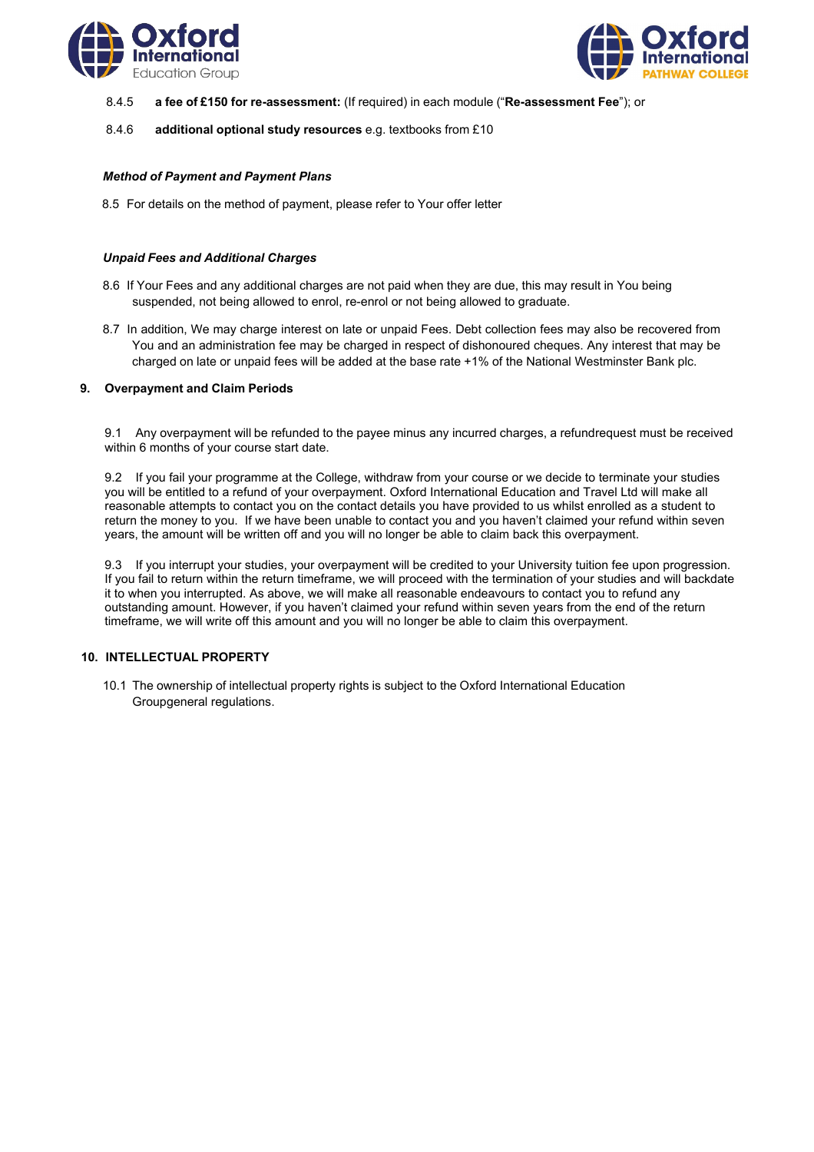



- 8.4.5 **a fee of £150 for re-assessment:** (If required) in each module ("**Re-assessment Fee**"); or
- 8.4.6 **additional optional study resources** e.g. textbooks from £10

## *Method of Payment and Payment Plans*

8.5 For details on the method of payment, please refer to Your offer letter

### *Unpaid Fees and Additional Charges*

- 8.6 If Your Fees and any additional charges are not paid when they are due, this may result in You being suspended, not being allowed to enrol, re-enrol or not being allowed to graduate.
- 8.7 In addition, We may charge interest on late or unpaid Fees. Debt collection fees may also be recovered from You and an administration fee may be charged in respect of dishonoured cheques. Any interest that may be charged on late or unpaid fees will be added at the base rate +1% of the National Westminster Bank plc.

### **9. Overpayment and Claim Periods**

9.1 Any overpayment will be refunded to the payee minus any incurred charges, a refundrequest must be received within 6 months of your course start date.

9.2 If you fail your programme at the College, withdraw from your course or we decide to terminate your studies you will be entitled to a refund of your overpayment. Oxford International Education and Travel Ltd will make all reasonable attempts to contact you on the contact details you have provided to us whilst enrolled as a student to return the money to you. If we have been unable to contact you and you haven't claimed your refund within seven years, the amount will be written off and you will no longer be able to claim back this overpayment.

9.3 If you interrupt your studies, your overpayment will be credited to your University tuition fee upon progression. If you fail to return within the return timeframe, we will proceed with the termination of your studies and will backdate it to when you interrupted. As above, we will make all reasonable endeavours to contact you to refund any outstanding amount. However, if you haven't claimed your refund within seven years from the end of the return timeframe, we will write off this amount and you will no longer be able to claim this overpayment.

## **10. INTELLECTUAL PROPERTY**

10.1 The ownership of intellectual property rights is subject to the Oxford International Education Groupgeneral regulations.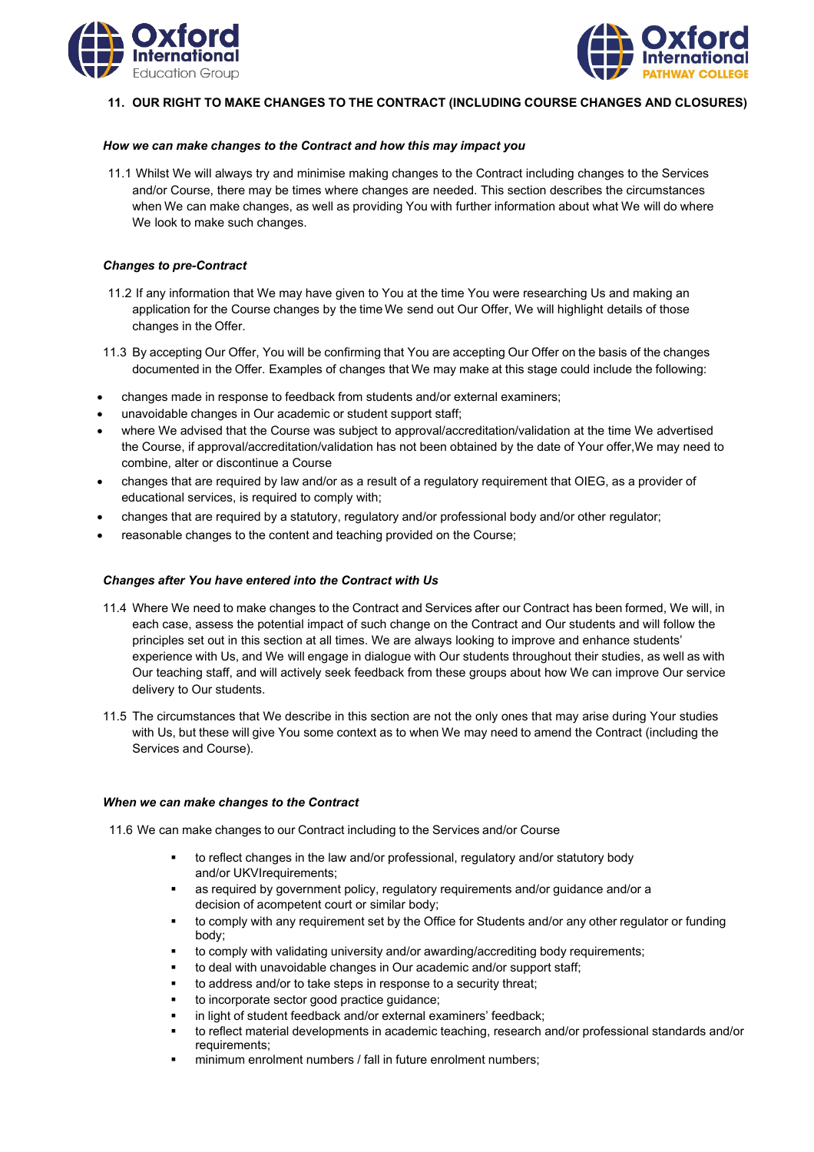



## **11. OUR RIGHT TO MAKE CHANGES TO THE CONTRACT (INCLUDING COURSE CHANGES AND CLOSURES)**

### *How we can make changes to the Contract and how this may impact you*

11.1 Whilst We will always try and minimise making changes to the Contract including changes to the Services and/or Course, there may be times where changes are needed. This section describes the circumstances when We can make changes, as well as providing You with further information about what We will do where We look to make such changes.

## *Changes to pre-Contract*

- 11.2 If any information that We may have given to You at the time You were researching Us and making an application for the Course changes by the time We send out Our Offer, We will highlight details of those changes in the Offer.
- 11.3 By accepting Our Offer, You will be confirming that You are accepting Our Offer on the basis of the changes documented in the Offer. Examples of changes that We may make at this stage could include the following:
- changes made in response to feedback from students and/or external examiners;
- unavoidable changes in Our academic or student support staff;
- where We advised that the Course was subject to approval/accreditation/validation at the time We advertised the Course, if approval/accreditation/validation has not been obtained by the date of Your offer,We may need to combine, alter or discontinue a Course
- changes that are required by law and/or as a result of a regulatory requirement that OIEG, as a provider of educational services, is required to comply with;
- changes that are required by a statutory, regulatory and/or professional body and/or other regulator;
- reasonable changes to the content and teaching provided on the Course;

## *Changes after You have entered into the Contract with Us*

- 11.4 Where We need to make changes to the Contract and Services after our Contract has been formed, We will, in each case, assess the potential impact of such change on the Contract and Our students and will follow the principles set out in this section at all times. We are always looking to improve and enhance students' experience with Us, and We will engage in dialogue with Our students throughout their studies, as well as with Our teaching staff, and will actively seek feedback from these groups about how We can improve Our service delivery to Our students.
- 11.5 The circumstances that We describe in this section are not the only ones that may arise during Your studies with Us, but these will give You some context as to when We may need to amend the Contract (including the Services and Course).

#### *When we can make changes to the Contract*

11.6 We can make changes to our Contract including to the Services and/or Course

- to reflect changes in the law and/or professional, regulatory and/or statutory body and/or UKVIrequirements;
- as required by government policy, regulatory requirements and/or guidance and/or a decision of acompetent court or similar body;
- to comply with any requirement set by the Office for Students and/or any other regulator or funding body;
- to comply with validating university and/or awarding/accrediting body requirements;
- to deal with unavoidable changes in Our academic and/or support staff;
- to address and/or to take steps in response to a security threat;
- to incorporate sector good practice guidance;
- in light of student feedback and/or external examiners' feedback;
- to reflect material developments in academic teaching, research and/or professional standards and/or requirements;
- minimum enrolment numbers / fall in future enrolment numbers;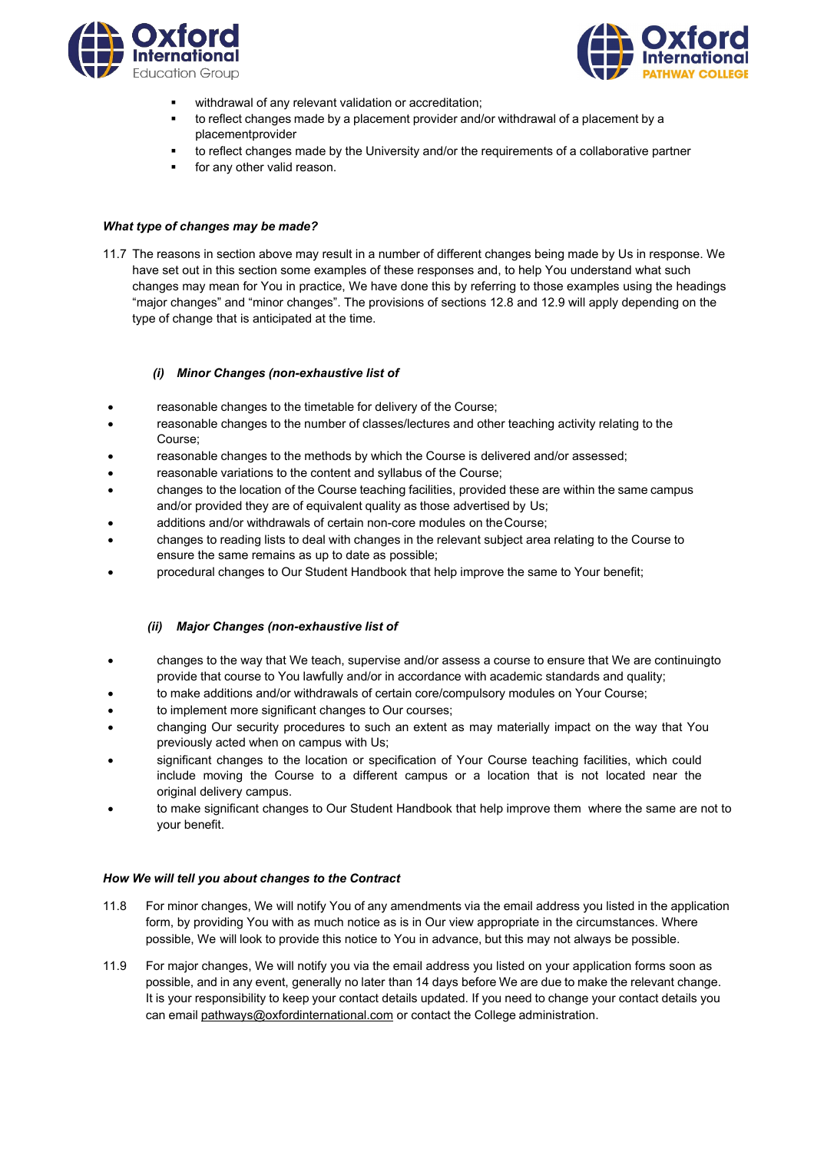



- withdrawal of any relevant validation or accreditation;
- to reflect changes made by a placement provider and/or withdrawal of a placement by a placementprovider
- to reflect changes made by the University and/or the requirements of a collaborative partner
- for any other valid reason.

### *What type of changes may be made?*

11.7 The reasons in section above may result in a number of different changes being made by Us in response. We have set out in this section some examples of these responses and, to help You understand what such changes may mean for You in practice, We have done this by referring to those examples using the headings "major changes" and "minor changes". The provisions of sections 12.8 and 12.9 will apply depending on the type of change that is anticipated at the time.

### *(i) Minor Changes (non-exhaustive list of*

- reasonable changes to the timetable for delivery of the Course;
- reasonable changes to the number of classes/lectures and other teaching activity relating to the Course;
- reasonable changes to the methods by which the Course is delivered and/or assessed;
- reasonable variations to the content and syllabus of the Course;
- changes to the location of the Course teaching facilities, provided these are within the same campus and/or provided they are of equivalent quality as those advertised by Us;
- additions and/or withdrawals of certain non-core modules on theCourse;
- changes to reading lists to deal with changes in the relevant subject area relating to the Course to ensure the same remains as up to date as possible;
- procedural changes to Our Student Handbook that help improve the same to Your benefit;

## *(ii) Major Changes (non-exhaustive list of*

- changes to the way that We teach, supervise and/or assess a course to ensure that We are continuingto provide that course to You lawfully and/or in accordance with academic standards and quality;
- to make additions and/or withdrawals of certain core/compulsory modules on Your Course;
- to implement more significant changes to Our courses;
- changing Our security procedures to such an extent as may materially impact on the way that You previously acted when on campus with Us;
- significant changes to the location or specification of Your Course teaching facilities, which could include moving the Course to a different campus or a location that is not located near the original delivery campus.
- to make significant changes to Our Student Handbook that help improve them where the same are not to your benefit.

## *How We will tell you about changes to the Contract*

- 11.8 For minor changes, We will notify You of any amendments via the email address you listed in the application form, by providing You with as much notice as is in Our view appropriate in the circumstances. Where possible, We will look to provide this notice to You in advance, but this may not always be possible.
- 11.9 For major changes, We will notify you via the email address you listed on your application forms soon as possible, and in any event, generally no later than 14 days before We are due to make the relevant change. It is your responsibility to keep your contact details updated. If you need to change your contact details you can email [pathways@oxfordinternational.com](mailto:pathways@oxfordinternational.com) or contact the College administration.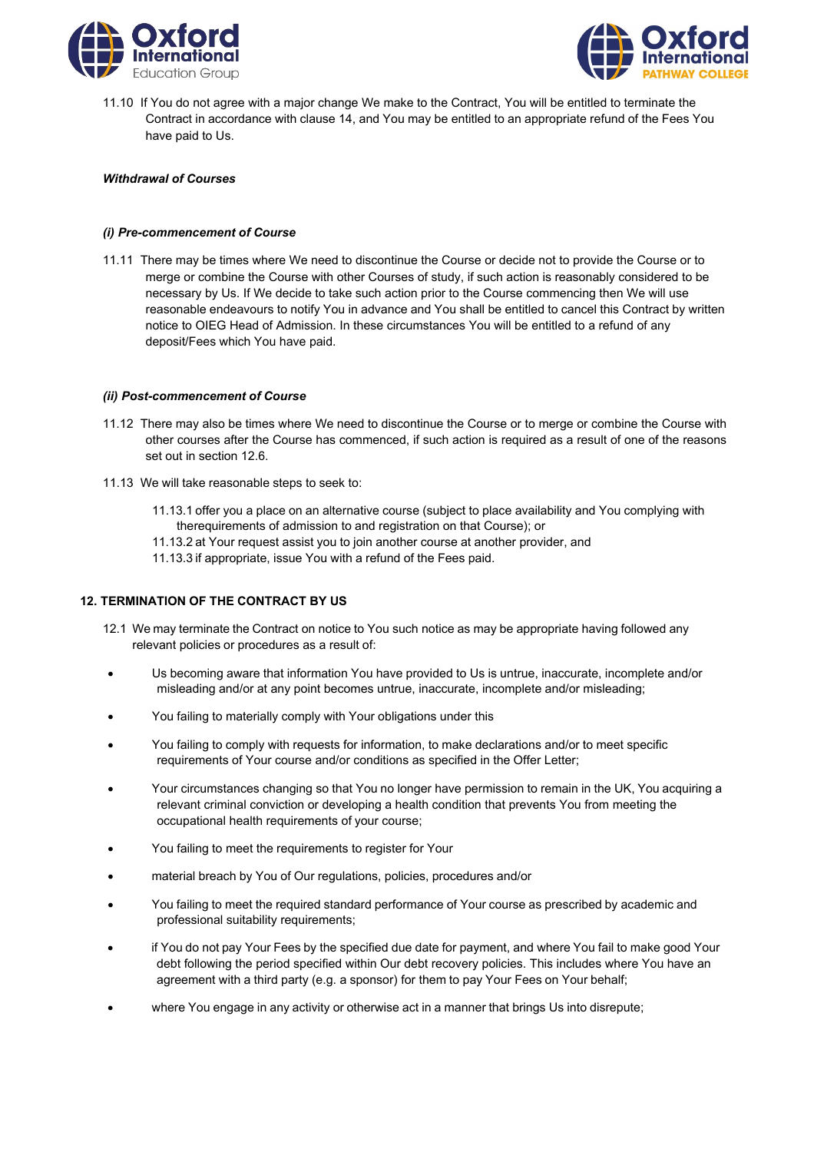



11.10 If You do not agree with a major change We make to the Contract, You will be entitled to terminate the Contract in accordance with clause 14, and You may be entitled to an appropriate refund of the Fees You have paid to Us.

## *Withdrawal of Courses*

### *(i) Pre-commencement of Course*

11.11 There may be times where We need to discontinue the Course or decide not to provide the Course or to merge or combine the Course with other Courses of study, if such action is reasonably considered to be necessary by Us. If We decide to take such action prior to the Course commencing then We will use reasonable endeavours to notify You in advance and You shall be entitled to cancel this Contract by written notice to OIEG Head of Admission. In these circumstances You will be entitled to a refund of any deposit/Fees which You have paid.

### *(ii) Post-commencement of Course*

- 11.12 There may also be times where We need to discontinue the Course or to merge or combine the Course with other courses after the Course has commenced, if such action is required as a result of one of the reasons set out in section 12.6.
- 11.13 We will take reasonable steps to seek to:
	- 11.13.1 offer you a place on an alternative course (subject to place availability and You complying with therequirements of admission to and registration on that Course); or
	- 11.13.2 at Your request assist you to join another course at another provider, and
	- 11.13.3 if appropriate, issue You with a refund of the Fees paid.

# **12. TERMINATION OF THE CONTRACT BY US**

- 12.1 We may terminate the Contract on notice to You such notice as may be appropriate having followed any relevant policies or procedures as a result of:
- Us becoming aware that information You have provided to Us is untrue, inaccurate, incomplete and/or misleading and/or at any point becomes untrue, inaccurate, incomplete and/or misleading;
- You failing to materially comply with Your obligations under this
- You failing to comply with requests for information, to make declarations and/or to meet specific requirements of Your course and/or conditions as specified in the Offer Letter;
- Your circumstances changing so that You no longer have permission to remain in the UK, You acquiring a relevant criminal conviction or developing a health condition that prevents You from meeting the occupational health requirements of your course;
- You failing to meet the requirements to register for Your
- material breach by You of Our regulations, policies, procedures and/or
- You failing to meet the required standard performance of Your course as prescribed by academic and professional suitability requirements;
- if You do not pay Your Fees by the specified due date for payment, and where You fail to make good Your debt following the period specified within Our debt recovery policies. This includes where You have an agreement with a third party (e.g. a sponsor) for them to pay Your Fees on Your behalf;
- where You engage in any activity or otherwise act in a manner that brings Us into disrepute;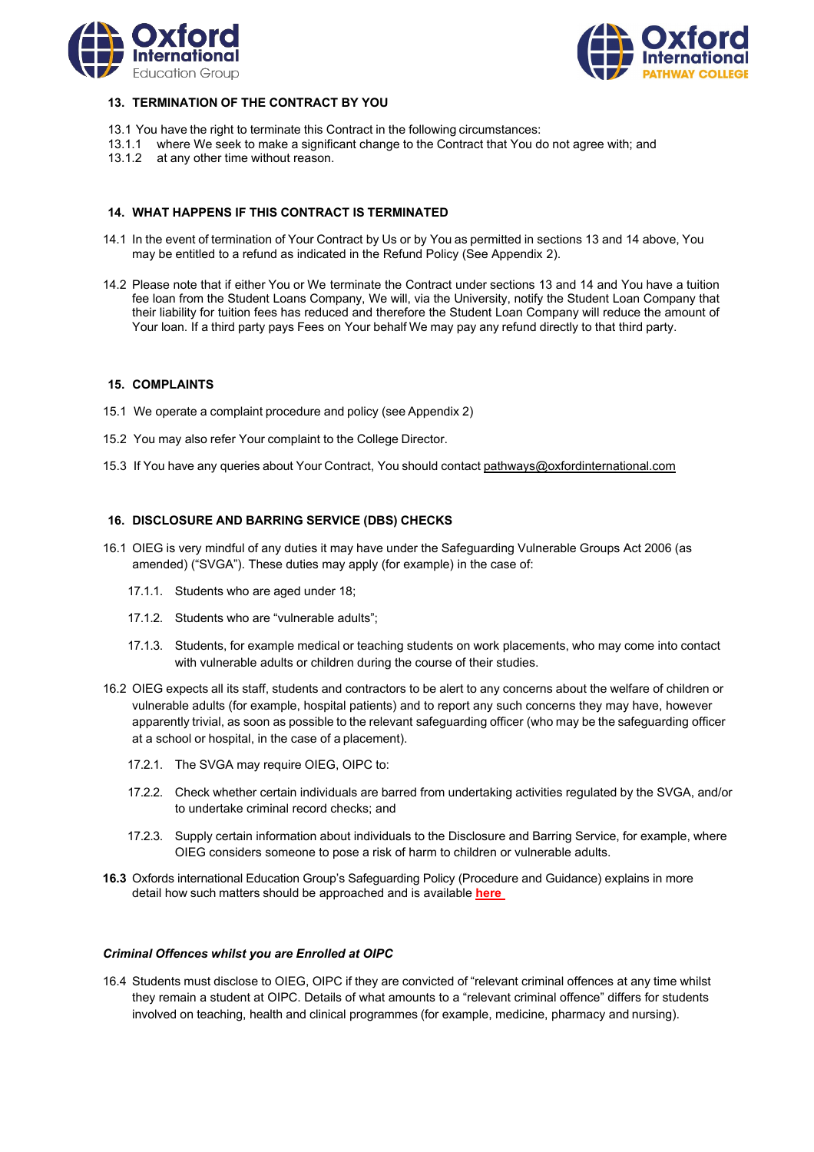



# **13. TERMINATION OF THE CONTRACT BY YOU**

- 13.1 You have the right to terminate this Contract in the following circumstances:
- 13.1.1 where We seek to make a significant change to the Contract that You do not agree with; and
- 13.1.2 at any other time without reason.

### **14. WHAT HAPPENS IF THIS CONTRACT IS TERMINATED**

- 14.1 In the event of termination of Your Contract by Us or by You as permitted in sections 13 and 14 above, You may be entitled to a refund as indicated in the Refund Policy (See Appendix 2).
- 14.2 Please note that if either You or We terminate the Contract under sections 13 and 14 and You have a tuition fee loan from the Student Loans Company, We will, via the University, notify the Student Loan Company that their liability for tuition fees has reduced and therefore the Student Loan Company will reduce the amount of Your loan. If a third party pays Fees on Your behalf We may pay any refund directly to that third party.

#### **15. COMPLAINTS**

- 15.1 We operate a complaint procedure and policy (see Appendix 2)
- 15.2 You may also refer Your complaint to the College Director.
- 15.3 If You have any queries about Your Contract, You should contact [pathways@oxfordinternational.com](mailto:pathways@oxfordinternational.com)

#### **16. DISCLOSURE AND BARRING SERVICE (DBS) CHECKS**

- 16.1 OIEG is very mindful of any duties it may have under the Safeguarding Vulnerable Groups Act 2006 (as amended) ("SVGA"). These duties may apply (for example) in the case of:
	- 17.1.1. Students who are aged under 18;
	- 17.1.2. Students who are "vulnerable adults";
	- 17.1.3. Students, for example medical or teaching students on work placements, who may come into contact with vulnerable adults or children during the course of their studies.
- 16.2 OIEG expects all its staff, students and contractors to be alert to any concerns about the welfare of children or vulnerable adults (for example, hospital patients) and to report any such concerns they may have, however apparently trivial, as soon as possible to the relevant safeguarding officer (who may be the safeguarding officer at a school or hospital, in the case of a placement).
	- 17.2.1. The SVGA may require OIEG, OIPC to:
	- 17.2.2. Check whether certain individuals are barred from undertaking activities regulated by the SVGA, and/or to undertake criminal record checks; and
	- 17.2.3. Supply certain information about individuals to the Disclosure and Barring Service, for example, where OIEG considers someone to pose a risk of harm to children or vulnerable adults.
- **16.3** Oxfords international Education Group's Safeguarding Policy (Procedure and Guidance) explains in more detail how such matters should be approached and is available **[here](http://www.dmu.ac.uk/documents/dmu-staff/pod/safeguarding/dmu-safeguarding-policy.pdf)**

#### *Criminal Offences whilst you are Enrolled at OIPC*

16.4 Students must disclose to OIEG, OIPC if they are convicted of "relevant criminal offences at any time whilst they remain a student at OIPC. Details of what amounts to a "relevant criminal offence" differs for students involved on teaching, health and clinical programmes (for example, medicine, pharmacy and nursing).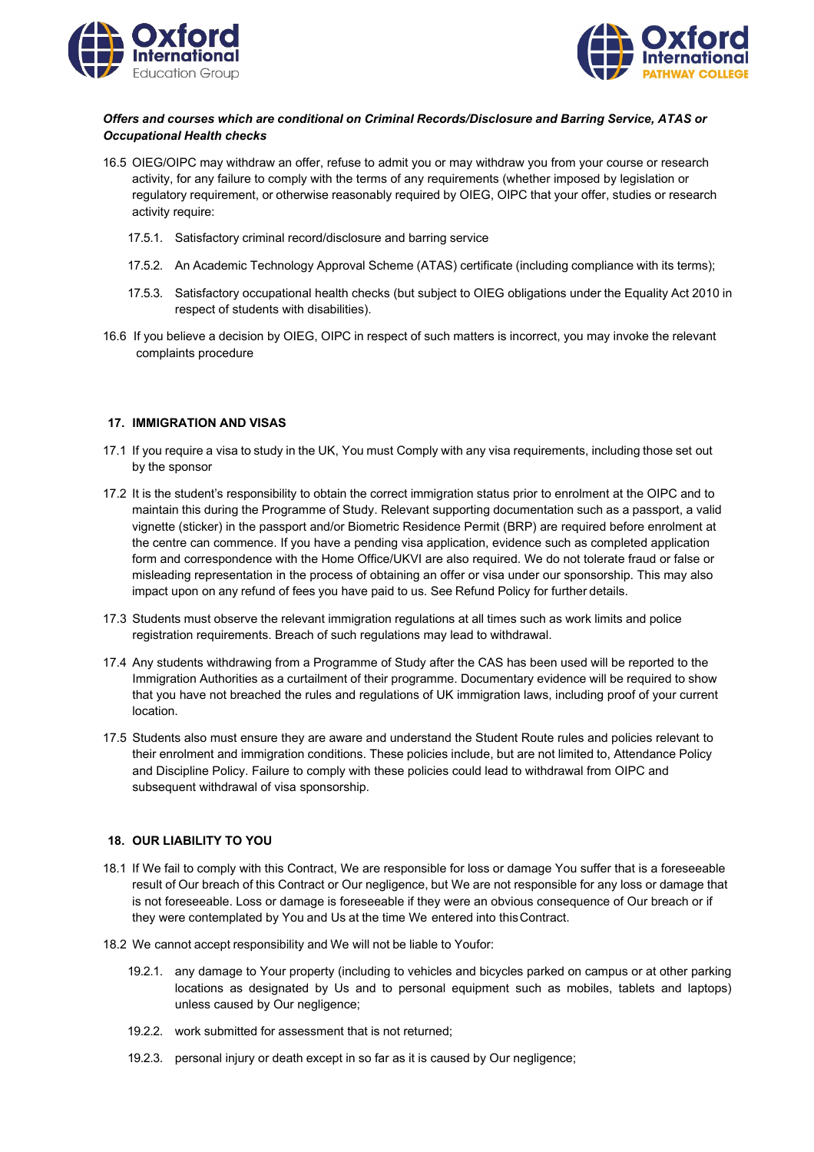



# *Offers and courses which are conditional on Criminal Records/Disclosure and Barring Service, ATAS or Occupational Health checks*

- 16.5 OIEG/OIPC may withdraw an offer, refuse to admit you or may withdraw you from your course or research activity, for any failure to comply with the terms of any requirements (whether imposed by legislation or regulatory requirement, or otherwise reasonably required by OIEG, OIPC that your offer, studies or research activity require:
	- 17.5.1. Satisfactory criminal record/disclosure and barring service
	- 17.5.2. An Academic Technology Approval Scheme (ATAS) certificate (including compliance with its terms);
	- 17.5.3. Satisfactory occupational health checks (but subject to OIEG obligations under the Equality Act 2010 in respect of students with disabilities).
- 16.6 If you believe a decision by OIEG, OIPC in respect of such matters is incorrect, you may invoke the relevant complaints procedure

#### **17. IMMIGRATION AND VISAS**

- 17.1 If you require a visa to study in the UK, You must Comply with any visa requirements, including those set out by the sponsor
- 17.2 It is the student's responsibility to obtain the correct immigration status prior to enrolment at the OIPC and to maintain this during the Programme of Study. Relevant supporting documentation such as a passport, a valid vignette (sticker) in the passport and/or Biometric Residence Permit (BRP) are required before enrolment at the centre can commence. If you have a pending visa application, evidence such as completed application form and correspondence with the Home Office/UKVI are also required. We do not tolerate fraud or false or misleading representation in the process of obtaining an offer or visa under our sponsorship. This may also impact upon on any refund of fees you have paid to us. See Refund Policy for further details.
- 17.3 Students must observe the relevant immigration regulations at all times such as work limits and police registration requirements. Breach of such regulations may lead to withdrawal.
- 17.4 Any students withdrawing from a Programme of Study after the CAS has been used will be reported to the Immigration Authorities as a curtailment of their programme. Documentary evidence will be required to show that you have not breached the rules and regulations of UK immigration laws, including proof of your current location.
- 17.5 Students also must ensure they are aware and understand the Student Route rules and policies relevant to their enrolment and immigration conditions. These policies include, but are not limited to, Attendance Policy and Discipline Policy. Failure to comply with these policies could lead to withdrawal from OIPC and subsequent withdrawal of visa sponsorship.

#### **18. OUR LIABILITY TO YOU**

- 18.1 If We fail to comply with this Contract, We are responsible for loss or damage You suffer that is a foreseeable result of Our breach of this Contract or Our negligence, but We are not responsible for any loss or damage that is not foreseeable. Loss or damage is foreseeable if they were an obvious consequence of Our breach or if they were contemplated by You and Us at the time We entered into thisContract.
- 18.2 We cannot accept responsibility and We will not be liable to Youfor:
	- 19.2.1. any damage to Your property (including to vehicles and bicycles parked on campus or at other parking locations as designated by Us and to personal equipment such as mobiles, tablets and laptops) unless caused by Our negligence;
	- 19.2.2. work submitted for assessment that is not returned;
	- 19.2.3. personal injury or death except in so far as it is caused by Our negligence;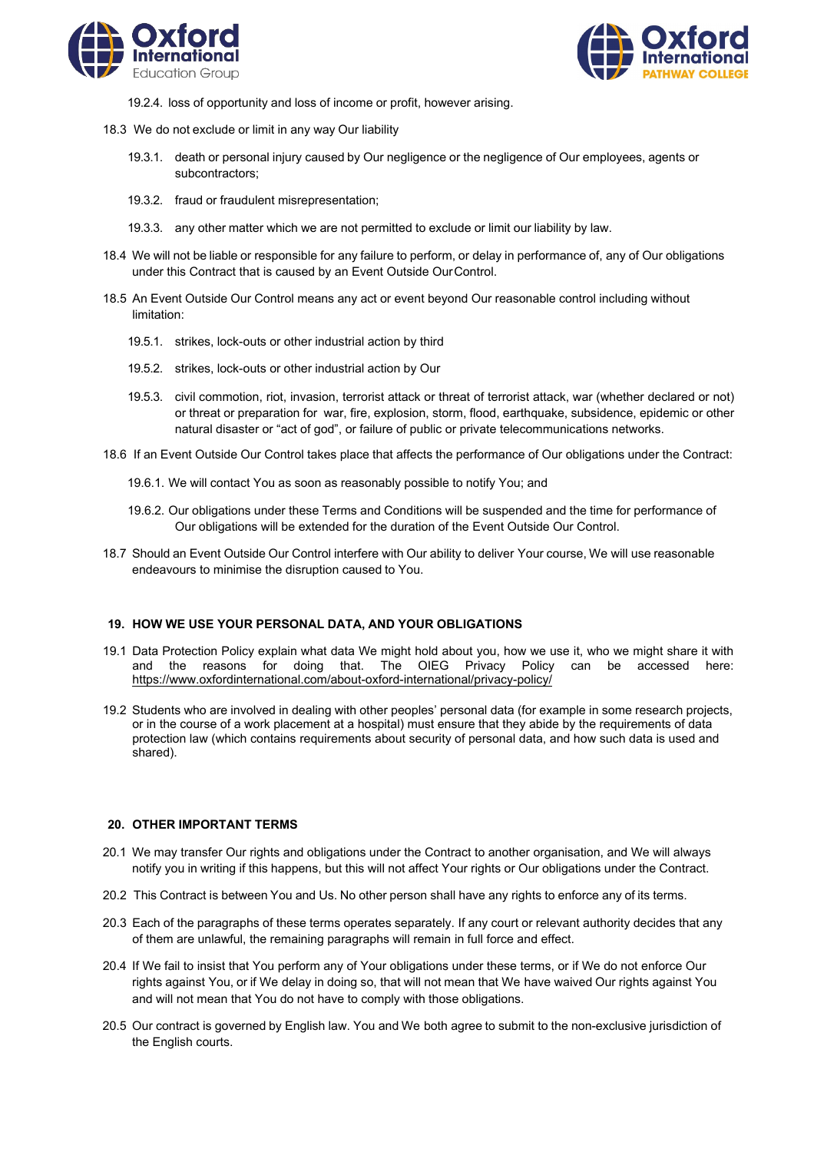



- 19.2.4. loss of opportunity and loss of income or profit, however arising.
- 18.3 We do not exclude or limit in any way Our liability
	- 19.3.1. death or personal injury caused by Our negligence or the negligence of Our employees, agents or subcontractors;
	- 19.3.2. fraud or fraudulent misrepresentation;
	- 19.3.3. any other matter which we are not permitted to exclude or limit our liability by law.
- 18.4 We will not be liable or responsible for any failure to perform, or delay in performance of, any of Our obligations under this Contract that is caused by an Event Outside OurControl.
- 18.5 An Event Outside Our Control means any act or event beyond Our reasonable control including without limitation:
	- 19.5.1. strikes, lock-outs or other industrial action by third
	- 19.5.2. strikes, lock-outs or other industrial action by Our
	- 19.5.3. civil commotion, riot, invasion, terrorist attack or threat of terrorist attack, war (whether declared or not) or threat or preparation for war, fire, explosion, storm, flood, earthquake, subsidence, epidemic or other natural disaster or "act of god", or failure of public or private telecommunications networks.
- 18.6 If an Event Outside Our Control takes place that affects the performance of Our obligations under the Contract:
	- 19.6.1. We will contact You as soon as reasonably possible to notify You; and
	- 19.6.2. Our obligations under these Terms and Conditions will be suspended and the time for performance of Our obligations will be extended for the duration of the Event Outside Our Control.
- 18.7 Should an Event Outside Our Control interfere with Our ability to deliver Your course, We will use reasonable endeavours to minimise the disruption caused to You.

## **19. HOW WE USE YOUR PERSONAL DATA, AND YOUR OBLIGATIONS**

- 19.1 Data Protection Policy explain what data We might hold about you, how we use it, who we might share it with and the reasons for doing that. The OIEG Privacy Policy can be accessed here: <https://www.oxfordinternational.com/about-oxford-international/privacy-policy/>
- 19.2 Students who are involved in dealing with other peoples' personal data (for example in some research projects, or in the course of a work placement at a hospital) must ensure that they abide by the requirements of data protection law (which contains requirements about security of personal data, and how such data is used and shared).

### **20. OTHER IMPORTANT TERMS**

- 20.1 We may transfer Our rights and obligations under the Contract to another organisation, and We will always notify you in writing if this happens, but this will not affect Your rights or Our obligations under the Contract.
- 20.2 This Contract is between You and Us. No other person shall have any rights to enforce any of its terms.
- 20.3 Each of the paragraphs of these terms operates separately. If any court or relevant authority decides that any of them are unlawful, the remaining paragraphs will remain in full force and effect.
- 20.4 If We fail to insist that You perform any of Your obligations under these terms, or if We do not enforce Our rights against You, or if We delay in doing so, that will not mean that We have waived Our rights against You and will not mean that You do not have to comply with those obligations.
- 20.5 Our contract is governed by English law. You and We both agree to submit to the non-exclusive jurisdiction of the English courts.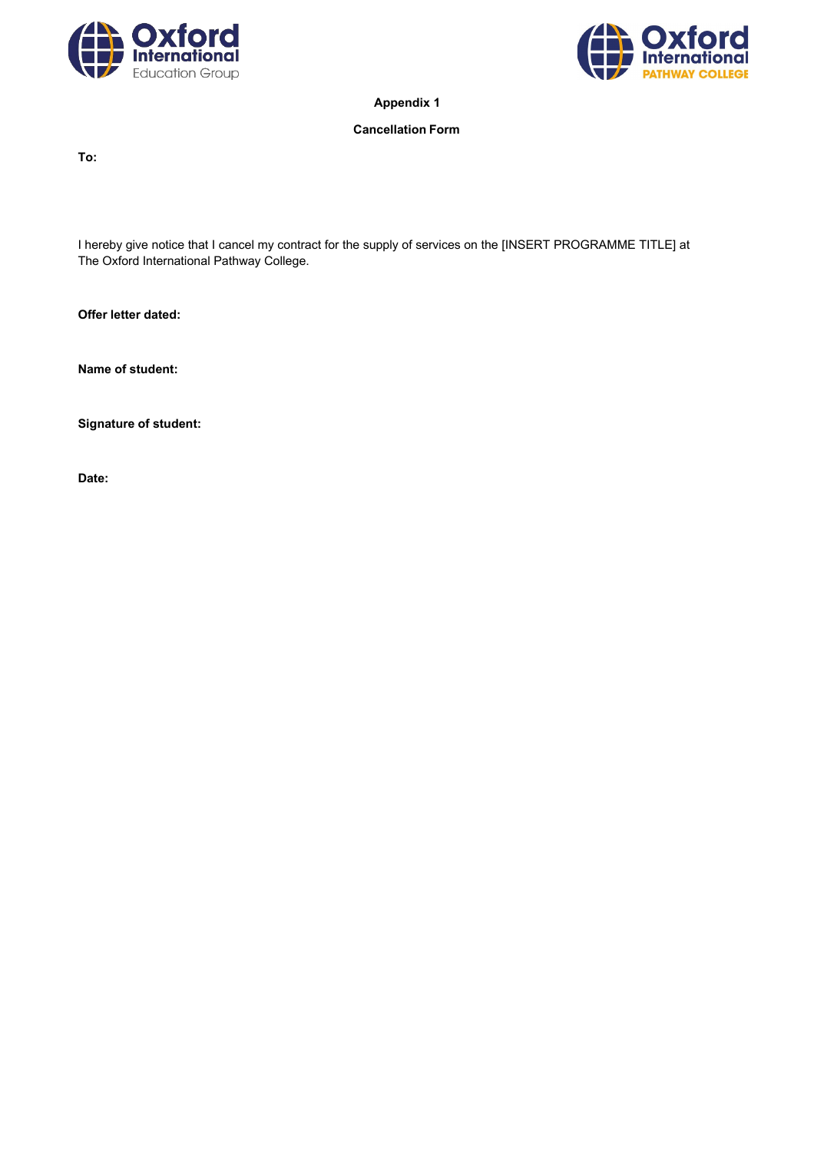



**Appendix 1**

## **Cancellation Form**

**To:**

I hereby give notice that I cancel my contract for the supply of services on the [INSERT PROGRAMME TITLE] at The Oxford International Pathway College.

**Offer letter dated:**

**Name of student:**

**Signature of student:**

**Date:**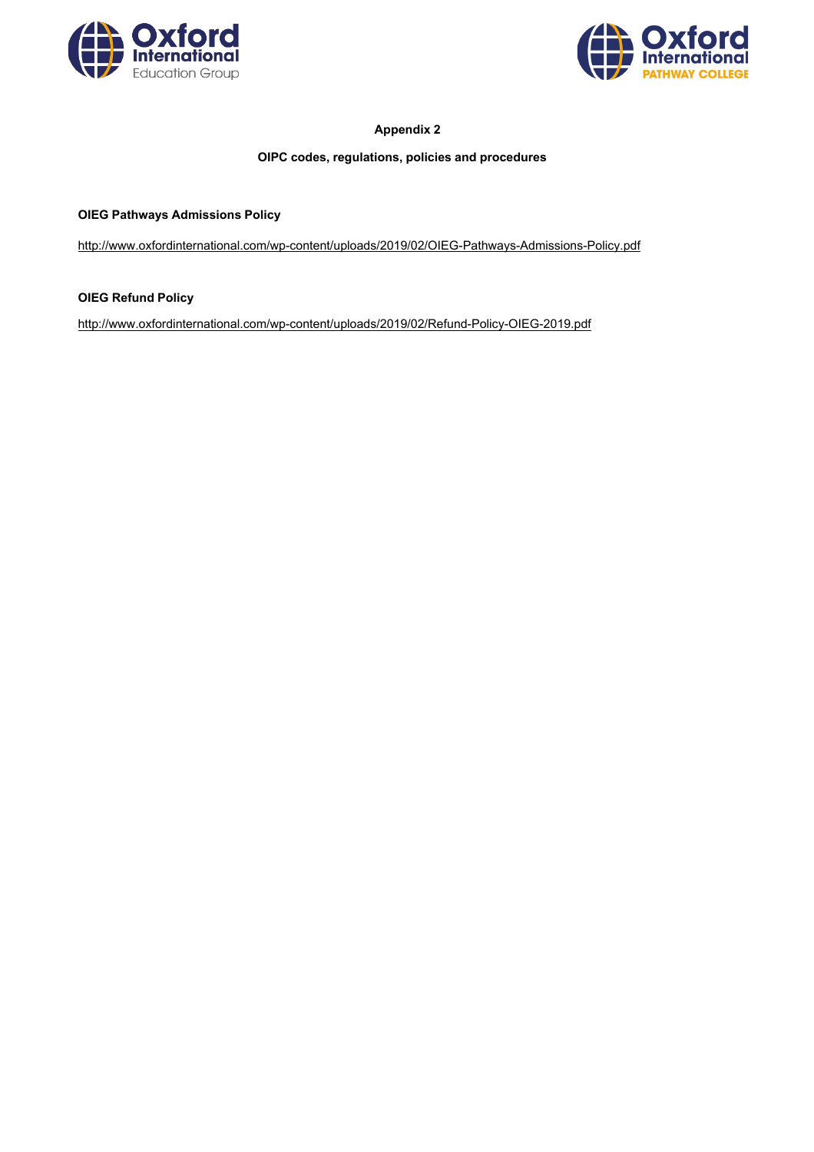



# **Appendix 2**

# **OIPC codes, regulations, policies and procedures**

## **OIEG Pathways Admissions Policy**

<http://www.oxfordinternational.com/wp-content/uploads/2019/02/OIEG-Pathways-Admissions-Policy.pdf>

# **OIEG Refund Policy**

<http://www.oxfordinternational.com/wp-content/uploads/2019/02/Refund-Policy-OIEG-2019.pdf>